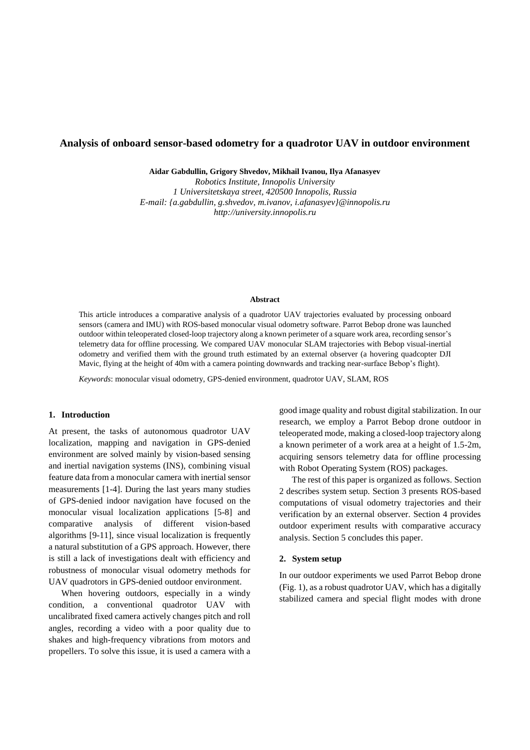# **Analysis of onboard sensor-based odometry for a quadrotor UAV in outdoor environment**

**Aidar Gabdullin, Grigory Shvedov, Mikhail Ivanou, Ilya Afanasyev**

*Robotics Institute, Innopolis University 1 Universitetskaya street, 420500 Innopolis, Russia E-mail: {a.gabdullin, g.shvedov, m.ivanov, i.afanasyev}@innopolis.ru http://university.innopolis.ru*

## **Abstract**

This article introduces a comparative analysis of a quadrotor UAV trajectories evaluated by processing onboard sensors (camera and IMU) with ROS-based monocular visual odometry software. Parrot Bebop drone was launched outdoor within teleoperated closed-loop trajectory along a known perimeter of a square work area, recording sensor's telemetry data for offline processing. We compared UAV monocular SLAM trajectories with Bebop visual-inertial odometry and verified them with the ground truth estimated by an external observer (a hovering quadcopter DJI Mavic, flying at the height of 40m with a camera pointing downwards and tracking near-surface Bebop's flight).

*Keywords*: monocular visual odometry, GPS-denied environment, quadrotor UAV, SLAM, ROS

#### **1. Introduction**

At present, the tasks of autonomous quadrotor UAV localization, mapping and navigation in GPS-denied environment are solved mainly by vision-based sensing and inertial navigation systems (INS), combining visual feature data from a monocular camera with inertial sensor measurements [1-4]. During the last years many studies of GPS-denied indoor navigation have focused on the monocular visual localization applications [5-8] and comparative analysis of different vision-based algorithms [9-11], since visual localization is frequently a natural substitution of a GPS approach. However, there is still a lack of investigations dealt with efficiency and robustness of monocular visual odometry methods for UAV quadrotors in GPS-denied outdoor environment.

When hovering outdoors, especially in a windy condition, a conventional quadrotor UAV with uncalibrated fixed camera actively changes pitch and roll angles, recording a video with a poor quality due to shakes and high-frequency vibrations from motors and propellers. To solve this issue, it is used a camera with a good image quality and robust digital stabilization. In our research, we employ a Parrot Bebop drone outdoor in teleoperated mode, making a closed-loop trajectory along a known perimeter of a work area at a height of 1.5-2m, acquiring sensors telemetry data for offline processing with Robot Operating System (ROS) packages.

The rest of this paper is organized as follows. Section 2 describes system setup. Section 3 presents ROS-based computations of visual odometry trajectories and their verification by an external observer. Section 4 provides outdoor experiment results with comparative accuracy analysis. Section 5 concludes this paper.

## **2. System setup**

In our outdoor experiments we used Parrot Bebop drone (Fig. 1), as a robust quadrotor UAV, which has a digitally stabilized camera and special flight modes with drone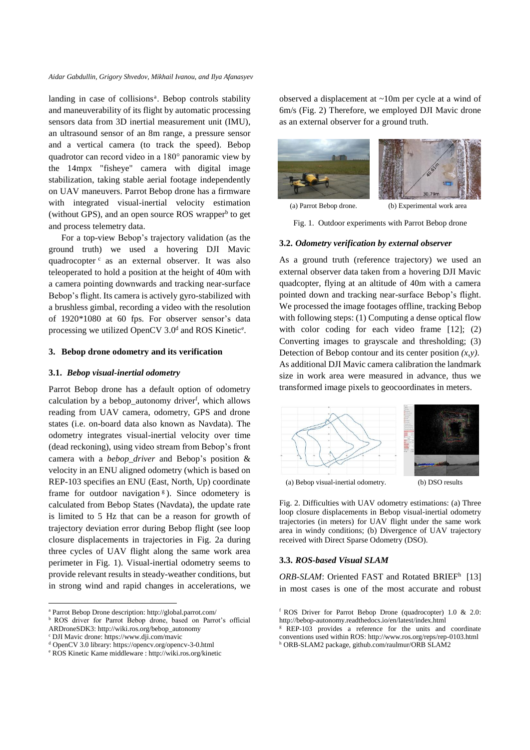*Aidar Gabdullin, Grigory Shvedov, Mikhail Ivanou, and Ilya Afanasyev*

landing in case of collisions<sup>a</sup>. Bebop controls stability and maneuverability of its flight by automatic processing sensors data from 3D inertial measurement unit (IMU), an ultrasound sensor of an 8m range, a pressure sensor and a vertical camera (to track the speed). Bebop quadrotor can record video in a 180° panoramic view by the 14mpx "fisheye" camera with digital image stabilization, taking stable aerial footage independently on UAV maneuvers. Parrot Bebop drone has a firmware with integrated visual-inertial velocity estimation (without GPS), and an open source ROS wrapper<sup>b</sup> to get and process telemetry data.

For a top-view Bebop's trajectory validation (as the ground truth) we used a hovering DJI Mavic quadrocopter<sup>c</sup> as an external observer. It was also teleoperated to hold a position at the height of 40m with a camera pointing downwards and tracking near-surface Bebop's flight. Its camera is actively gyro-stabilized with a brushless gimbal, recording a video with the resolution of 1920\*1080 at 60 fps. For observer sensor's data processing we utilized OpenCV 3.0<sup>d</sup> and ROS Kinetic<sup>e</sup>.

#### **3. Bebop drone odometry and its verification**

### **3.1.** *Bebop visual-inertial odometry*

Parrot Bebop drone has a default option of odometry calculation by a bebop\_autonomy driver<sup>f</sup>, which allows reading from UAV camera, odometry, GPS and drone states (i.e. on-board data also known as Navdata). The odometry integrates visual-inertial velocity over time (dead reckoning), using video stream from Bebop's front camera with a *bebop\_driver* and Bebop's position & velocity in an ENU aligned odometry (which is based on REP-103 specifies an ENU (East, North, Up) coordinate frame for outdoor navigation<sup>g</sup>). Since odometery is calculated from Bebop States (Navdata), the update rate is limited to 5 Hz that can be a reason for growth of trajectory deviation error during Bebop flight (see loop closure displacements in trajectories in Fig. 2a during three cycles of UAV flight along the same work area perimeter in Fig. 1). Visual-inertial odometry seems to provide relevant results in steady-weather conditions, but in strong wind and rapid changes in accelerations, we

1

observed a displacement at ~10m per cycle at a wind of 6m/s (Fig. 2) Therefore, we employed DJI Mavic drone as an external observer for a ground truth.



(a) Parrot Bebop drone. (b) Experimental work area

Fig. 1. Outdoor experiments with Parrot Bebop drone

#### **3.2.** *Odometry verification by external observer*

As a ground truth (reference trajectory) we used an external observer data taken from a hovering DJI Mavic quadcopter, flying at an altitude of 40m with a camera pointed down and tracking near-surface Bebop's flight. We processed the image footages offline, tracking Bebop with following steps: (1) Computing a dense optical flow with color coding for each video frame [12]; (2) Converting images to grayscale and thresholding; (3) Detection of Bebop contour and its center position *(x,y)*. As additional DJI Mavic camera calibration the landmark size in work area were measured in advance, thus we transformed image pixels to geocoordinates in meters.



Fig. 2. Difficulties with UAV odometry estimations: (a) Three loop closure displacements in Bebop visual-inertial odometry trajectories (in meters) for UAV flight under the same work area in windy conditions; (b) Divergence of UAV trajectory received with Direct Sparse Odometry (DSO).

## **3.3.** *ROS-based Visual SLAM*

ORB-SLAM: Oriented FAST and Rotated BRIEF<sup>h</sup> [13] in most cases is one of the most accurate and robust

<sup>a</sup> Parrot Bebop Drone description: http://global.parrot.com/

**b** ROS driver for Parrot Bebop drone, based on Parrot's official ARDroneSDK3: http://wiki.ros.org/bebop\_autonomy

<sup>c</sup> DJI Mavic drone: https://www.dji.com/mavic

<sup>d</sup> OpenCV 3.0 library: https://opencv.org/opencv-3-0.html

<sup>e</sup> ROS Kinetic Kame middleware : http://wiki.ros.org/kinetic

<sup>f</sup> ROS Driver for Parrot Bebop Drone (quadrocopter) 1.0 & 2.0: http://bebop-autonomy.readthedocs.io/en/latest/index.html

<sup>&</sup>lt;sup>g</sup> REP-103 provides a reference for the units and coordinate conventions used within ROS: http://www.ros.org/reps/rep-0103.html h ORB-SLAM2 package, github.com/raulmur/ORB SLAM2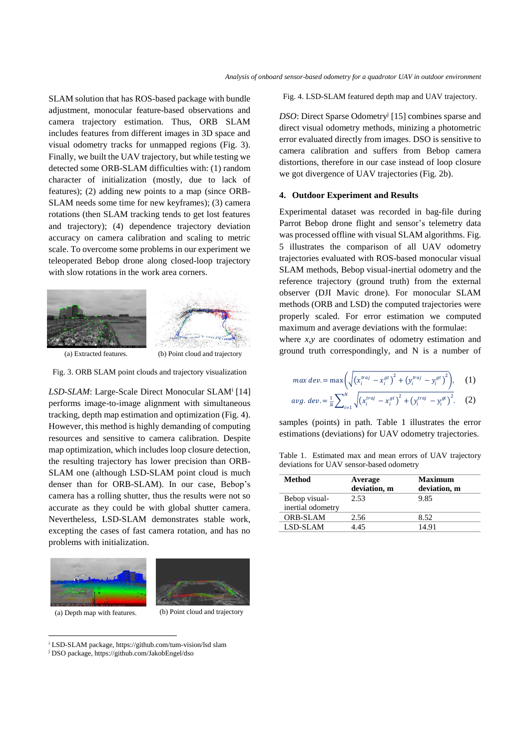SLAM solution that has ROS-based package with bundle adjustment, monocular feature-based observations and camera trajectory estimation. Thus, ORB SLAM includes features from different images in 3D space and visual odometry tracks for unmapped regions (Fig. 3). Finally, we built the UAV trajectory, but while testing we detected some ORB-SLAM difficulties with: (1) random character of initialization (mostly, due to lack of features); (2) adding new points to a map (since ORB-SLAM needs some time for new keyframes); (3) camera rotations (then SLAM tracking tends to get lost features and trajectory); (4) dependence trajectory deviation accuracy on camera calibration and scaling to metric scale. To overcome some problems in our experiment we teleoperated Bebop drone along closed-loop trajectory with slow rotations in the work area corners.





Fig. 3. ORB SLAM point clouds and trajectory visualization

LSD-SLAM: Large-Scale Direct Monocular SLAM<sup>i</sup> [14] performs image-to-image alignment with simultaneous tracking, depth map estimation and optimization (Fig. 4). However, this method is highly demanding of computing resources and sensitive to camera calibration. Despite map optimization, which includes loop closure detection, the resulting trajectory has lower precision than ORB-SLAM one (although LSD-SLAM point cloud is much denser than for ORB-SLAM). In our case, Bebop's camera has a rolling shutter, thus the results were not so accurate as they could be with global shutter camera. Nevertheless, LSD-SLAM demonstrates stable work, excepting the cases of fast camera rotation, and has no problems with initialization.



<u>.</u>

(a) Depth map with features. (b) Point cloud and trajectory

Fig. 4. LSD-SLAM featured depth map and UAV trajectory.

DSO: Direct Sparse Odometry<sup>j</sup> [15] combines sparse and direct visual odometry methods, minizing a photometric error evaluated directly from images. DSO is sensitive to camera calibration and suffers from Bebop camera distortions, therefore in our case instead of loop closure we got divergence of UAV trajectories (Fig. 2b).

#### **4. Outdoor Experiment and Results**

Experimental dataset was recorded in bag-file during Parrot Bebop drone flight and sensor's telemetry data was processed offline with visual SLAM algorithms. Fig. 5 illustrates the comparison of all UAV odometry trajectories evaluated with ROS-based monocular visual SLAM methods, Bebop visual-inertial odometry and the reference trajectory (ground truth) from the external observer (DJI Mavic drone). For monocular SLAM methods (ORB and LSD) the computed trajectories were properly scaled. For error estimation we computed maximum and average deviations with the formulae:

where *x,y* are coordinates of odometry estimation and ground truth correspondingly, and N is a number of

$$
\max dev = \max \left( \sqrt{\left( x_i^{traj} - x_i^{gt} \right)^2 + \left( y_i^{traj} - y_i^{gt} \right)^2} \right), \quad (1)
$$

$$
avg. \ dev. = \frac{1}{N} \sum_{i=1}^{N} \sqrt{(x_i^{traj} - x_i^{gt})^2 + (y_i^{traj} - y_i^{gt})^2}. \quad (2)
$$

samples (points) in path. Table 1 illustrates the error estimations (deviations) for UAV odometry trajectories.

Table 1. Estimated max and mean errors of UAV trajectory deviations for UAV sensor-based odometry

| Method                             | Average<br>deviation, m | Maximum<br>deviation, m |
|------------------------------------|-------------------------|-------------------------|
| Bebop visual-<br>inertial odometry | 2.53                    | 9.85                    |
| <b>ORB-SLAM</b>                    | 2.56                    | 8.52                    |
| LSD-SLAM                           | 4.45                    | 14.91                   |

<sup>i</sup> LSD-SLAM package, https://github.com/tum-vision/lsd slam

<sup>j</sup> DSO package, https://github.com/JakobEngel/dso